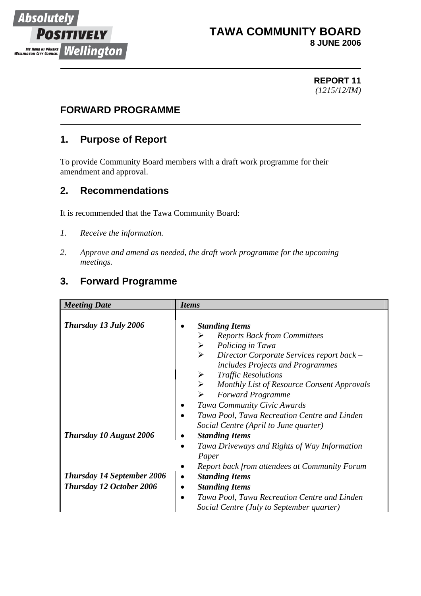

# **TAWA COMMUNITY BOARD 8 JUNE 2006**

#### **REPORT 11** *(1215/12/IM)*

# **FORWARD PROGRAMME**

# **1. Purpose of Report**

To provide Community Board members with a draft work programme for their amendment and approval.

### **2. Recommendations**

It is recommended that the Tawa Community Board:

- *1. Receive the information.*
- *2. Approve and amend as needed, the draft work programme for the upcoming meetings.*

# **3. Forward Programme**

| <b>Meeting Date</b>               | <i>Items</i>                                                        |  |
|-----------------------------------|---------------------------------------------------------------------|--|
|                                   |                                                                     |  |
| Thursday 13 July 2006             | <b>Standing Items</b>                                               |  |
|                                   | <b>Reports Back from Committees</b>                                 |  |
|                                   | Policing in Tawa<br>➤                                               |  |
|                                   | Director Corporate Services report back -<br>➤                      |  |
|                                   | includes Projects and Programmes                                    |  |
|                                   | <b>Traffic Resolutions</b>                                          |  |
|                                   | $\blacktriangleright$<br>Monthly List of Resource Consent Approvals |  |
|                                   | <b>Forward Programme</b>                                            |  |
|                                   | Tawa Community Civic Awards                                         |  |
|                                   | Tawa Pool, Tawa Recreation Centre and Linden                        |  |
|                                   | Social Centre (April to June quarter)                               |  |
| <b>Thursday 10 August 2006</b>    | <b>Standing Items</b>                                               |  |
|                                   | Tawa Driveways and Rights of Way Information<br>$\bullet$           |  |
|                                   | Paper                                                               |  |
|                                   | Report back from attendees at Community Forum                       |  |
| <b>Thursday 14 September 2006</b> | <b>Standing Items</b>                                               |  |
| <b>Thursday 12 October 2006</b>   | <b>Standing Items</b><br>$\bullet$                                  |  |
|                                   | Tawa Pool, Tawa Recreation Centre and Linden<br>$\bullet$           |  |
|                                   | Social Centre (July to September quarter)                           |  |